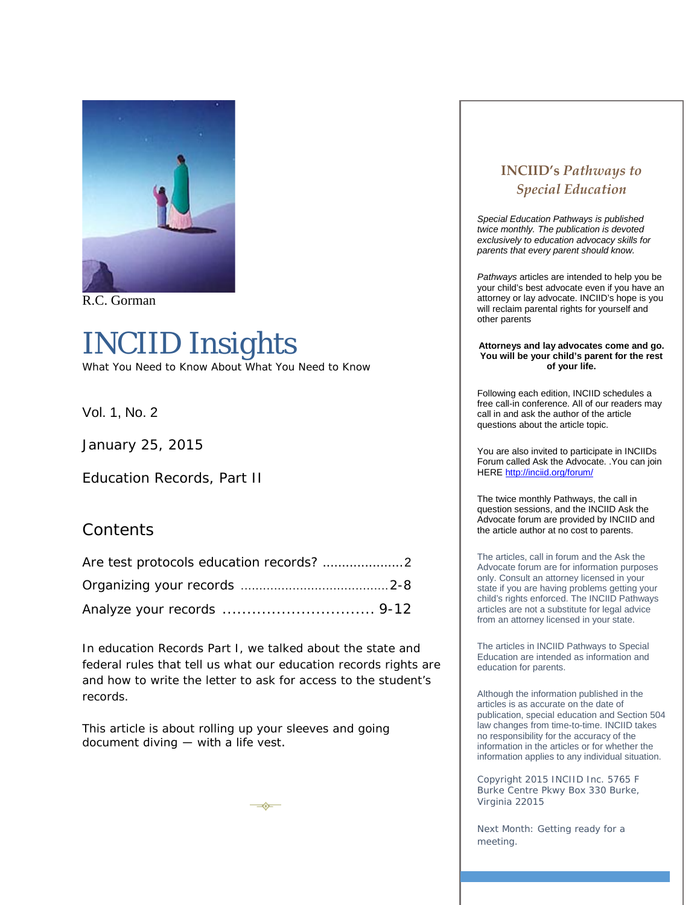

R.C. Gorman

# INCIID *Insights*

What You Need to Know About What You Need to Know

Vol. 1, No. 2

January 25, 2015

Education Records, Part II

#### **Contents**

In education Records Part I, we talked about the state and federal rules that tell us what our education records rights are and how to write the letter to ask for access to the student's records.

➾

This article is about rolling up your sleeves and going document diving  $-$  with a life vest.

## **INCIID's** *Pathways to Special Education*

*Special Education Pathways is published twice monthly. The publication is devoted exclusively to education advocacy skills for parents that every parent should know.*

*Pathways* articles are intended to help you be your child's best advocate even if you have an attorney or lay advocate. INCIID's hope is you will reclaim parental rights for yourself and other parents

**Attorneys and lay advocates come and go. You will be your child's parent for the rest of your life.**

Following each edition, INCIID schedules a free call-in conference. All of our readers may call in and ask the author of the article questions about the article topic.

You are also invited to participate in INCIIDs Forum called Ask the Advocate. .You can join HERE<http://inciid.org/forum/>

The twice monthly Pathways, the call in question sessions, and the INCIID Ask the Advocate forum are provided by INCIID and the article author at no cost to parents.

The articles, call in forum and the Ask the Advocate forum are for information purposes only. Consult an attorney licensed in your state if you are having problems getting your child's rights enforced. The INCIID Pathways articles are not a substitute for legal advice from an attorney licensed in your state.

The articles in INCIID Pathways to Special Education are intended as information and education for parents.

Although the information published in the articles is as accurate on the date of publication, special education and Section 504 law changes from time-to-time. INCIID takes no responsibility for the accuracy of the information in the articles or for whether the information applies to any individual situation.

Copyright 2015 INCIID Inc. 5765 F Burke Centre Pkwy Box 330 Burke, Virginia 22015

Next Month: Getting ready for a meeting.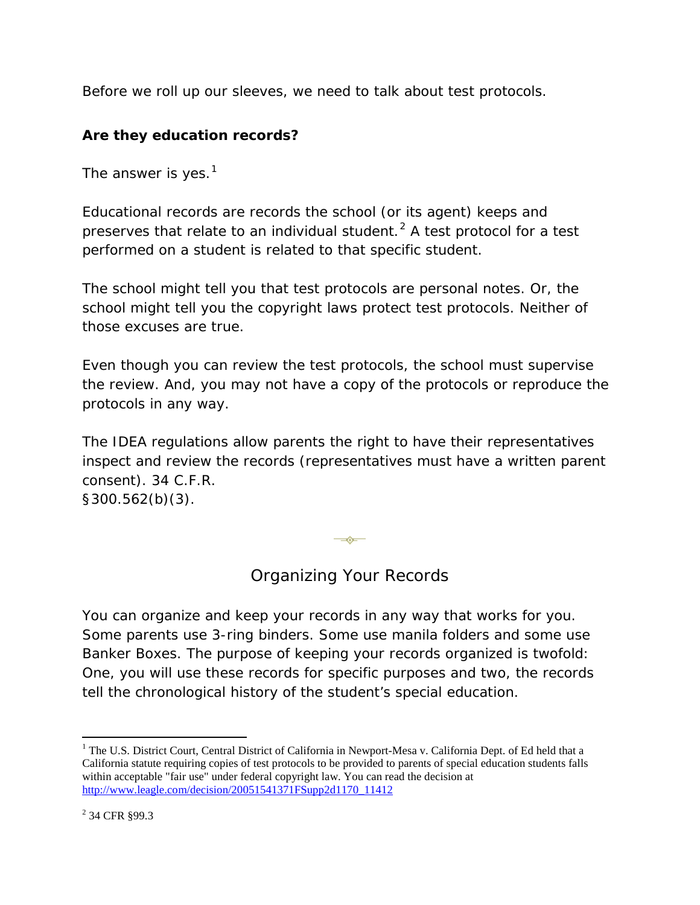Before we roll up our sleeves, we need to talk about test protocols.

## **Are they education records?**

The answer is yes. $<sup>1</sup>$  $<sup>1</sup>$  $<sup>1</sup>$ </sup>

Educational records are records the school (or its agent) keeps and preserves that relate to an individual student. $<sup>2</sup>$  $<sup>2</sup>$  $<sup>2</sup>$  A test protocol for a test</sup> performed on a student is related to that specific student.

The school might tell you that test protocols are personal notes. Or, the school might tell you the copyright laws protect test protocols. Neither of those excuses are true.

Even though you can review the test protocols, the school must supervise the review. And, you may not have a copy of the protocols or reproduce the protocols in any way.

The IDEA regulations allow parents the right to have their representatives inspect and review the records (representatives must have a written parent consent). 34 C.F.R.

§300.562(b)(3).

 $\rightarrow$ 

# Organizing Your Records

You can organize and keep your records in any way that works for you. Some parents use 3-ring binders. Some use manila folders and some use Banker Boxes. The purpose of keeping your records organized is twofold: One, you will use these records for specific purposes and two, the records tell the chronological history of the student's special education.

<span id="page-1-0"></span><sup>&</sup>lt;sup>1</sup> The U.S. District Court, Central District of California in Newport-Mesa v. California Dept. of Ed held that a California statute requiring copies of test protocols to be provided to parents of special education students falls within acceptable "fair use" under federal copyright law. You can read the decision at [http://www.leagle.com/decision/20051541371FSupp2d1170\\_11412](http://www.leagle.com/decision/20051541371FSupp2d1170_11412)  $\overline{a}$ 

<span id="page-1-1"></span><sup>2</sup> 34 CFR §99.3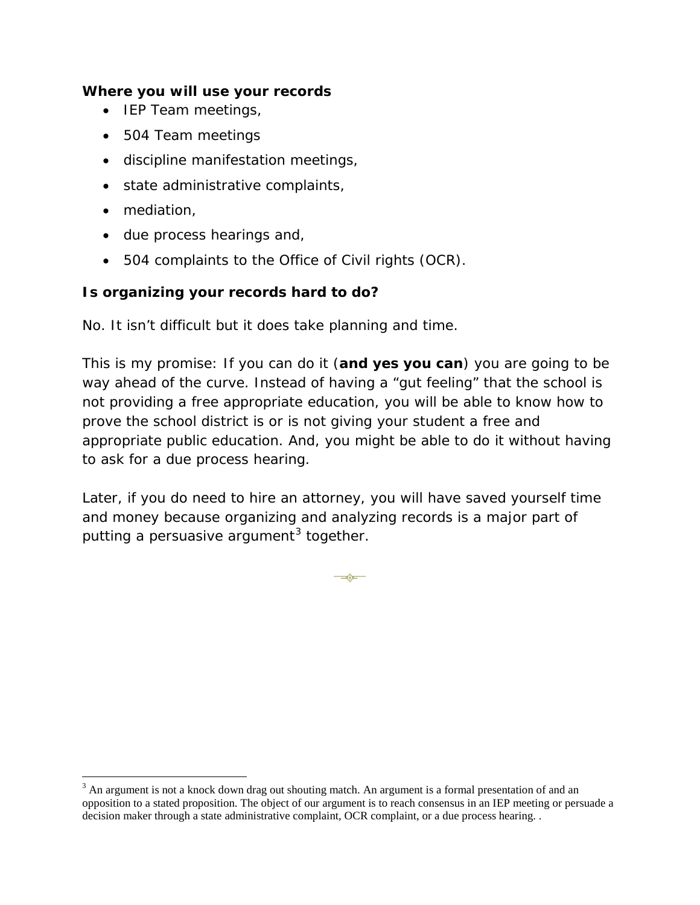#### **Where you will use your records**

- IEP Team meetings,
- 504 Team meetings
- discipline manifestation meetings,
- state administrative complaints,
- mediation,

 $\overline{a}$ 

- due process hearings and,
- 504 complaints to the Office of Civil rights (OCR).

#### **Is organizing your records hard to do?**

No. It isn't difficult but it does take planning and time.

This is my promise: If you can do it (**and yes you can**) you are going to be way ahead of the curve. Instead of having a "gut feeling" that the school is not providing a free appropriate education, you will be able to know how to prove the school district is or is not giving your student a free and appropriate public education. And, you might be able to do it without having to ask for a due process hearing.

Later, if you do need to hire an attorney, you will have saved yourself time and money because organizing and analyzing records is a major part of putting a persuasive argument<sup>[3](#page-2-0)</sup> together.

 $\overline{\phantom{a}}$ 

<span id="page-2-0"></span> $3$  An argument is not a knock down drag out shouting match. An argument is a formal presentation of and an opposition to a stated proposition. The object of our argument is to reach consensus in an IEP meeting or persuade a decision maker through a state administrative complaint, OCR complaint, or a due process hearing. .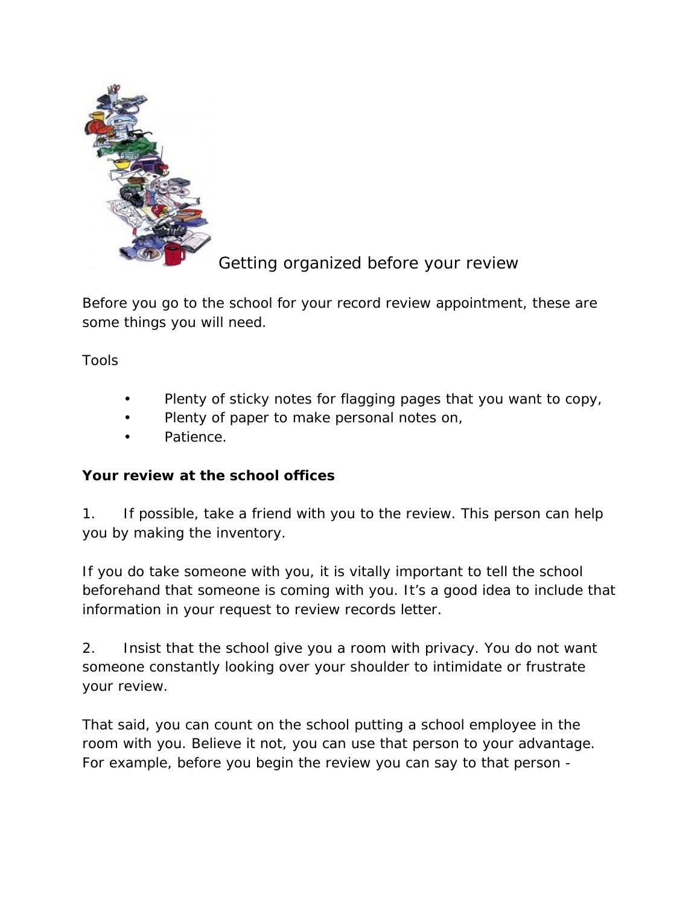

Getting organized before your review

Before you go to the school for your record review appointment, these are some things you will need.

Tools

- Plenty of sticky notes for flagging pages that you want to copy,
- Plenty of paper to make personal notes on,
- Patience.

### **Your review at the school offices**

1. If possible, take a friend with you to the review. This person can help you by making the inventory.

If you do take someone with you, it is vitally important to tell the school beforehand that someone is coming with you. It's a good idea to include that information in your request to review records letter.

2. Insist that the school give you a room with privacy. You do not want someone constantly looking over your shoulder to intimidate or frustrate your review.

That said, you can count on the school putting a school employee in the room with you. Believe it not, you can use that person to your advantage. For example, before you begin the review you can say to that person -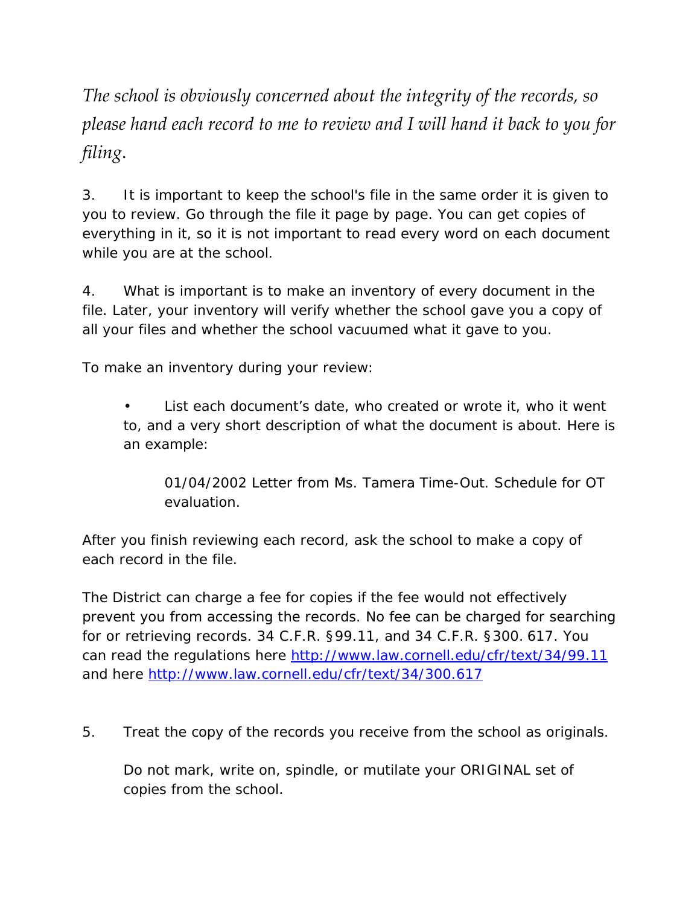*The school is obviously concerned about the integrity of the records, so please hand each record to me to review and I will hand it back to you for filing*.

3. It is important to keep the school's file in the same order it is given to you to review. Go through the file it page by page. You can get copies of everything in it, so it is not important to read every word on each document while you are at the school.

4. What is important is to make an inventory of every document in the file. Later, your inventory will verify whether the school gave you a copy of all your files and whether the school vacuumed what it gave to you.

To make an inventory during your review:

List each document's date, who created or wrote it, who it went to, and a very short description of what the document is about. Here is an example:

01/04/2002 Letter from Ms. Tamera Time-Out. Schedule for OT evaluation.

After you finish reviewing each record, ask the school to make a copy of each record in the file.

The District can charge a fee for copies if the fee would not effectively prevent you from accessing the records. No fee can be charged for searching for or retrieving records. 34 C.F.R. §99.11, and 34 C.F.R. §300. 617. You can read the regulations here<http://www.law.cornell.edu/cfr/text/34/99.11> and here <http://www.law.cornell.edu/cfr/text/34/300.617>

5. Treat the copy of the records you receive from the school as originals.

Do not mark, write on, spindle, or mutilate your ORIGINAL set of copies from the school.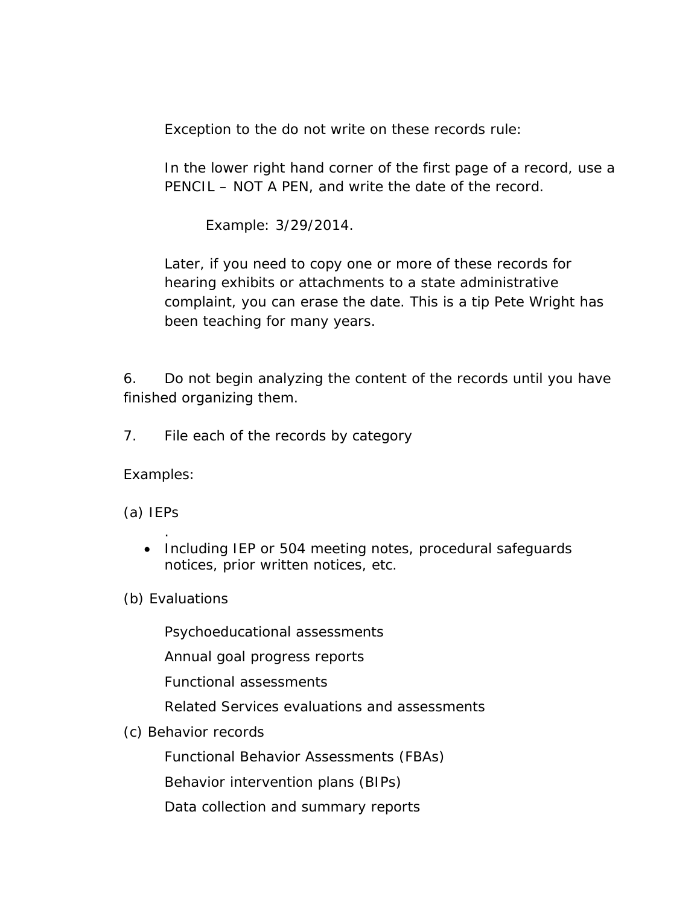Exception to the do not write on these records rule:

In the lower right hand corner of the first page of a record, use a PENCIL – NOT A PEN, and write the date of the record.

Example: 3/29/2014.

Later, if you need to copy one or more of these records for hearing exhibits or attachments to a state administrative complaint, you can erase the date. This is a tip Pete Wright has been teaching for many years.

6. Do not begin analyzing the content of the records until you have finished organizing them.

7. File each of the records by category

Examples:

(a) IEPs

. • Including IEP or 504 meeting notes, procedural safeguards notices, prior written notices, etc.

(b) Evaluations

Psychoeducational assessments

Annual goal progress reports

Functional assessments

Related Services evaluations and assessments

(c) Behavior records

Functional Behavior Assessments (FBAs)

Behavior intervention plans (BIPs)

Data collection and summary reports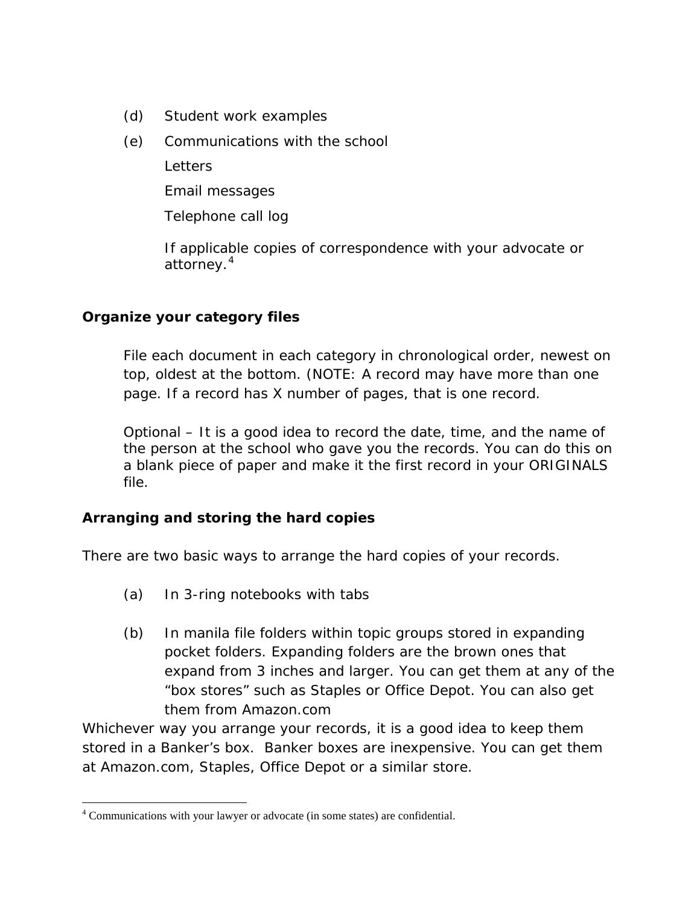- (d) Student work examples
- (e) Communications with the school

**Letters** 

Email messages

Telephone call log

If applicable copies of correspondence with your advocate or attorney.<sup>[4](#page-6-0)</sup>

#### **Organize your category files**

File each document in each category in chronological order, newest on top, oldest at the bottom. (NOTE: A record may have more than one page. If a record has X number of pages, that is one record.

Optional – It is a good idea to record the date, time, and the name of the person at the school who gave you the records. You can do this on a blank piece of paper and make it the first record in your ORIGINALS file.

#### **Arranging and storing the hard copies**

There are two basic ways to arrange the hard copies of your records.

- (a) In 3-ring notebooks with tabs
- (b) In manila file folders within topic groups stored in expanding pocket folders. Expanding folders are the brown ones that expand from 3 inches and larger. You can get them at any of the "box stores" such as Staples or Office Depot. You can also get them from Amazon.com

Whichever way you arrange your records, it is a good idea to keep them stored in a Banker's box. Banker boxes are inexpensive. You can get them at Amazon.com, Staples, Office Depot or a similar store.

 $\overline{a}$ 

<span id="page-6-0"></span><sup>&</sup>lt;sup>4</sup> Communications with your lawyer or advocate (in some states) are confidential.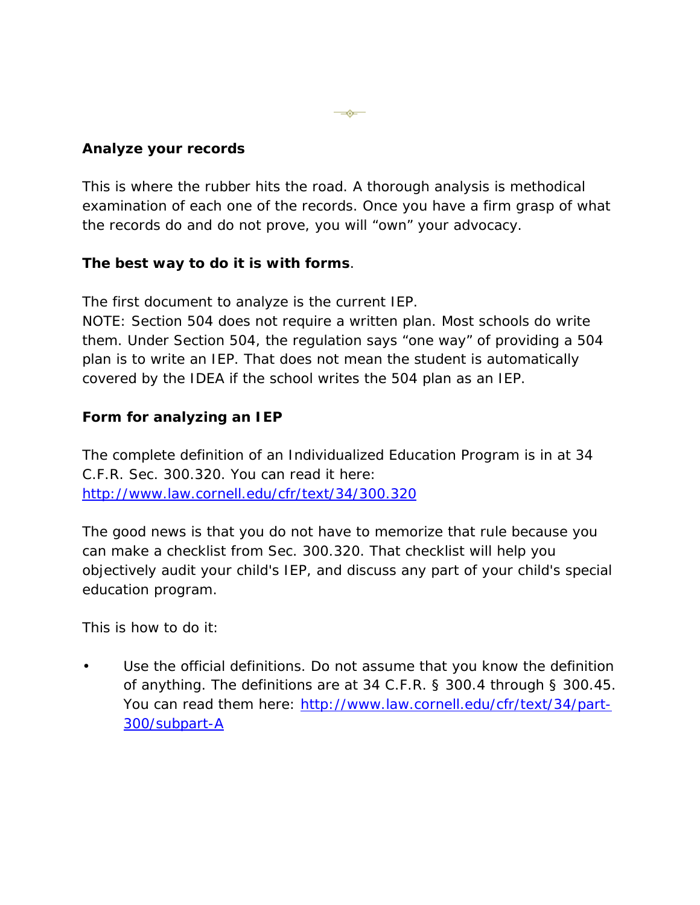#### **Analyze your records**

This is where the rubber hits the road. A thorough analysis is methodical examination of each one of the records. Once you have a firm grasp of what the records do and do not prove, you will "own" your advocacy.

 $\overline{\phantom{a}}$ 

#### **The best way to do it is with forms**.

The first document to analyze is the current IEP.

NOTE: Section 504 does not require a written plan. Most schools do write them. Under Section 504, the regulation says "one way" of providing a 504 plan is to write an IEP. That does not mean the student is automatically covered by the IDEA if the school writes the 504 plan as an IEP.

#### **Form for analyzing an IEP**

The complete definition of an Individualized Education Program is in at 34 C.F.R. Sec. 300.320. You can read it here: <http://www.law.cornell.edu/cfr/text/34/300.320>

The good news is that you do not have to memorize that rule because you can make a checklist from Sec. 300.320. That checklist will help you objectively audit your child's IEP, and discuss any part of your child's special education program.

This is how to do it:

• Use the official definitions. Do not assume that you know the definition of anything. The definitions are at 34 C.F.R. § 300.4 through § 300.45. You can read them here: [http://www.law.cornell.edu/cfr/text/34/part-](http://www.law.cornell.edu/cfr/text/34/part-300/subpart-A)[300/subpart-A](http://www.law.cornell.edu/cfr/text/34/part-300/subpart-A)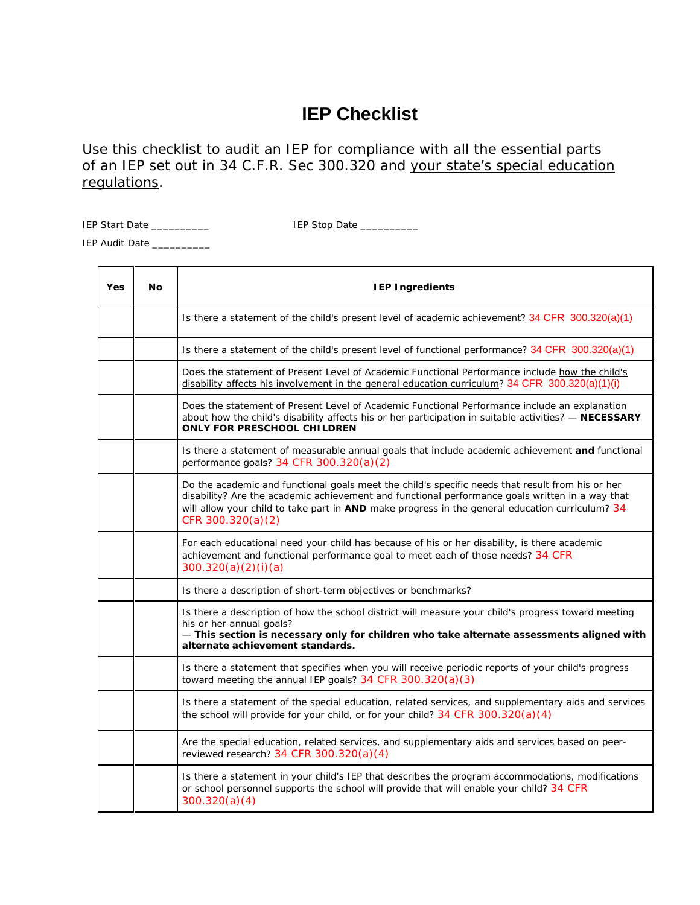# **IEP Checklist**

Use this checklist to audit an IEP for compliance with all the essential parts of an IEP set out in 34 C.F.R. Sec 300.320 and your state's special education regulations.

IEP Start Date \_\_\_\_\_\_\_\_\_\_ IEP Stop Date \_\_\_\_\_\_\_\_\_\_

IEP Audit Date \_\_\_\_\_\_\_\_\_\_

| Yes | <b>No</b> | <b>IEP Ingredients</b>                                                                                                                                                                                                                                                                                                      |
|-----|-----------|-----------------------------------------------------------------------------------------------------------------------------------------------------------------------------------------------------------------------------------------------------------------------------------------------------------------------------|
|     |           | Is there a statement of the child's present level of academic achievement? $34$ CFR $300.320(a)(1)$                                                                                                                                                                                                                         |
|     |           | Is there a statement of the child's present level of functional performance? 34 CFR 300.320(a)(1)                                                                                                                                                                                                                           |
|     |           | Does the statement of Present Level of Academic Functional Performance include how the child's<br>disability affects his involvement in the general education curriculum? 34 CFR 300.320(a)(1)(i)                                                                                                                           |
|     |           | Does the statement of Present Level of Academic Functional Performance include an explanation<br>about how the child's disability affects his or her participation in suitable activities? - NECESSARY<br><b>ONLY FOR PRESCHOOL CHILDREN</b>                                                                                |
|     |           | Is there a statement of measurable annual goals that include academic achievement and functional<br>performance goals? 34 CFR 300.320(a)(2)                                                                                                                                                                                 |
|     |           | Do the academic and functional goals meet the child's specific needs that result from his or her<br>disability? Are the academic achievement and functional performance goals written in a way that<br>will allow your child to take part in AND make progress in the general education curriculum? 34<br>CFR 300.320(a)(2) |
|     |           | For each educational need your child has because of his or her disability, is there academic<br>achievement and functional performance goal to meet each of those needs? 34 CFR<br>300.320(a)(2)(i)(a)                                                                                                                      |
|     |           | Is there a description of short-term objectives or benchmarks?                                                                                                                                                                                                                                                              |
|     |           | Is there a description of how the school district will measure your child's progress toward meeting<br>his or her annual goals?<br>- This section is necessary only for children who take alternate assessments aligned with<br>alternate achievement standards.                                                            |
|     |           | Is there a statement that specifies when you will receive periodic reports of your child's progress<br>toward meeting the annual IEP goals? 34 CFR 300.320(a)(3)                                                                                                                                                            |
|     |           | Is there a statement of the special education, related services, and supplementary aids and services<br>the school will provide for your child, or for your child? 34 CFR 300.320(a)(4)                                                                                                                                     |
|     |           | Are the special education, related services, and supplementary aids and services based on peer-<br>reviewed research? 34 CFR 300.320(a)(4)                                                                                                                                                                                  |
|     |           | Is there a statement in your child's IEP that describes the program accommodations, modifications<br>or school personnel supports the school will provide that will enable your child? 34 CFR<br>300.320(a)(4)                                                                                                              |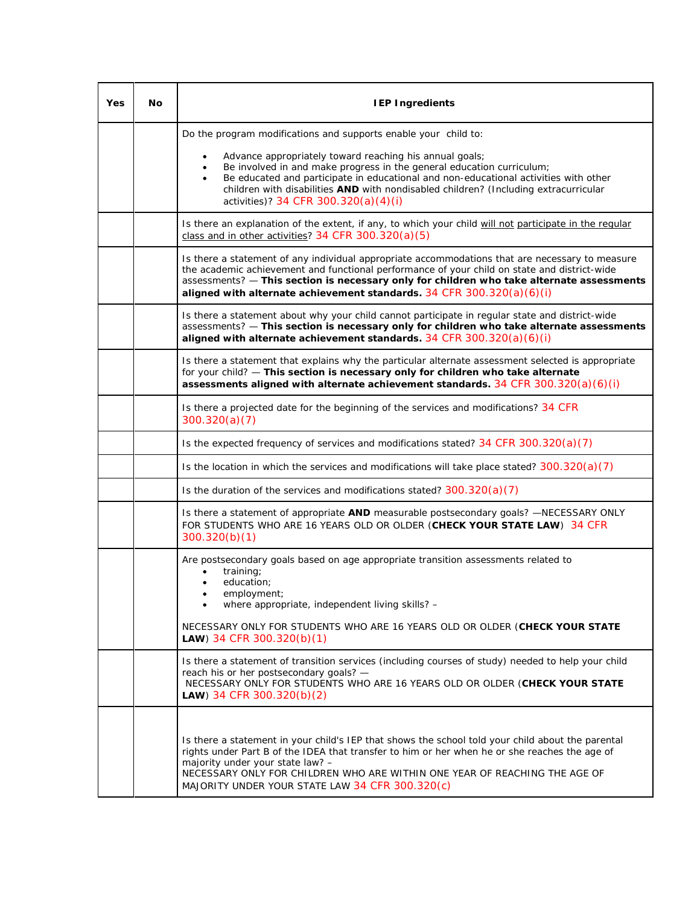| Yes | No | <b>IEP Ingredients</b>                                                                                                                                                                                                                                                                                                                                                  |
|-----|----|-------------------------------------------------------------------------------------------------------------------------------------------------------------------------------------------------------------------------------------------------------------------------------------------------------------------------------------------------------------------------|
|     |    | Do the program modifications and supports enable your child to:                                                                                                                                                                                                                                                                                                         |
|     |    | Advance appropriately toward reaching his annual goals;<br>$\bullet$<br>Be involved in and make progress in the general education curriculum;<br>Be educated and participate in educational and non-educational activities with other<br>children with disabilities AND with nondisabled children? (Including extracurricular<br>activities)? 34 CFR 300.320(a)(4)(i)   |
|     |    | Is there an explanation of the extent, if any, to which your child will not participate in the regular<br>class and in other activities? 34 CFR 300.320(a)(5)                                                                                                                                                                                                           |
|     |    | Is there a statement of any individual appropriate accommodations that are necessary to measure<br>the academic achievement and functional performance of your child on state and district-wide<br>assessments? - This section is necessary only for children who take alternate assessments<br>aligned with alternate achievement standards. 34 CFR 300.320(a)(6)(i)   |
|     |    | Is there a statement about why your child cannot participate in regular state and district-wide<br>assessments? - This section is necessary only for children who take alternate assessments<br>aligned with alternate achievement standards. $34$ CFR $300.320(a)(6)(i)$                                                                                               |
|     |    | Is there a statement that explains why the particular alternate assessment selected is appropriate<br>for your child? - This section is necessary only for children who take alternate<br>assessments aligned with alternate achievement standards. 34 CFR $300.320(a)(6)(i)$                                                                                           |
|     |    | Is there a projected date for the beginning of the services and modifications? 34 CFR<br>300.320(a)(7)                                                                                                                                                                                                                                                                  |
|     |    | Is the expected frequency of services and modifications stated? $34$ CFR $300.320(a)(7)$                                                                                                                                                                                                                                                                                |
|     |    | Is the location in which the services and modifications will take place stated? $300.320(a)(7)$                                                                                                                                                                                                                                                                         |
|     |    | Is the duration of the services and modifications stated? $300.320(a)(7)$                                                                                                                                                                                                                                                                                               |
|     |    | Is there a statement of appropriate AND measurable postsecondary goals? - NECESSARY ONLY<br>FOR STUDENTS WHO ARE 16 YEARS OLD OR OLDER (CHECK YOUR STATE LAW) 34 CFR<br>300.320(b)(1)                                                                                                                                                                                   |
|     |    | Are postsecondary goals based on age appropriate transition assessments related to<br>training;<br>education;<br>employment;<br>where appropriate, independent living skills? -                                                                                                                                                                                         |
|     |    | NECESSARY ONLY FOR STUDENTS WHO ARE 16 YEARS OLD OR OLDER (CHECK YOUR STATE<br>LAW) 34 CFR 300.320(b)(1)                                                                                                                                                                                                                                                                |
|     |    | Is there a statement of transition services (including courses of study) needed to help your child<br>reach his or her postsecondary goals? -<br>NECESSARY ONLY FOR STUDENTS WHO ARE 16 YEARS OLD OR OLDER (CHECK YOUR STATE<br>LAW) 34 CFR 300.320(b)(2)                                                                                                               |
|     |    | Is there a statement in your child's IEP that shows the school told your child about the parental<br>rights under Part B of the IDEA that transfer to him or her when he or she reaches the age of<br>majority under your state law? -<br>NECESSARY ONLY FOR CHILDREN WHO ARE WITHIN ONE YEAR OF REACHING THE AGE OF<br>MAJORITY UNDER YOUR STATE LAW 34 CFR 300.320(c) |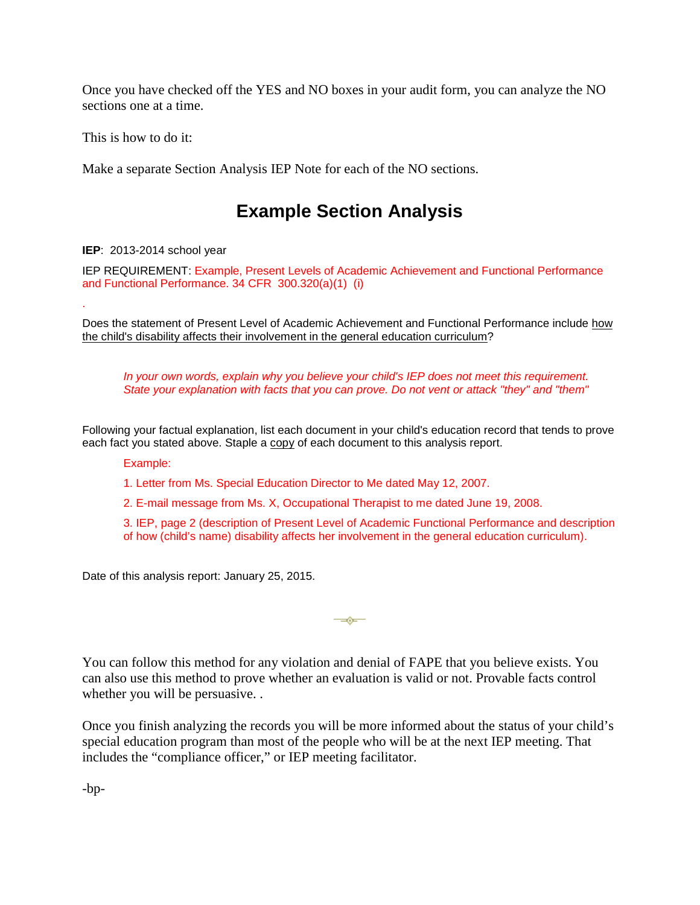Once you have checked off the YES and NO boxes in your audit form, you can analyze the NO sections one at a time.

This is how to do it:

Make a separate Section Analysis IEP Note for each of the NO sections.

# **Example Section Analysis**

**IEP**: 2013-2014 school year

.

IEP REQUIREMENT: Example, Present Levels of Academic Achievement and Functional Performance and Functional Performance. 34 CFR 300.320(a)(1) (i)

Does the statement of Present Level of Academic Achievement and Functional Performance include how the child's disability affects their involvement in the general education curriculum?

*In your own words, explain why you believe your child's IEP does not meet this requirement. State your explanation with facts that you can prove. Do not vent or attack "they" and "them"*

Following your factual explanation, list each document in your child's education record that tends to prove each fact you stated above. Staple a copy of each document to this analysis report.

Example:

1. Letter from Ms. Special Education Director to Me dated May 12, 2007.

2. E-mail message from Ms. X, Occupational Therapist to me dated June 19, 2008.

3. IEP, page 2 (description of Present Level of Academic Functional Performance and description of how (child's name) disability affects her involvement in the general education curriculum).

Date of this analysis report: January 25, 2015.

You can follow this method for any violation and denial of FAPE that you believe exists. You can also use this method to prove whether an evaluation is valid or not. Provable facts control whether you will be persuasive. .

 $\overline{\phantom{a}}$ 

Once you finish analyzing the records you will be more informed about the status of your child's special education program than most of the people who will be at the next IEP meeting. That includes the "compliance officer," or IEP meeting facilitator.

-bp-